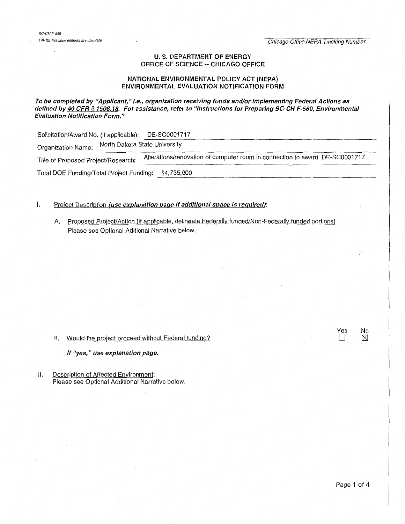## U.S. DEPARTMENT OF ENERGY OFFICE OF SCIENCE-- CHICAGO OFFICE

## NATIONAL ENVIRONMENTAL POLICY ACT (NEPA) ENVIRONMENTAL EVALUATION NOTIFICATION FORM

To be completed by "Applicant," i.e., organization receiving funds and/or implementing Federal Actions as defined by 40 CFR § 1508.18. For assistance, refer to "Instructions for Preparing SC-CH F-560, Environmental Evaluation Notification Form."

| Solicitation/Award No. (if applicable):              |                               | DE-SC0001717                                                                |  |  |  |  |
|------------------------------------------------------|-------------------------------|-----------------------------------------------------------------------------|--|--|--|--|
| Organization Name:                                   | North Dakota State University |                                                                             |  |  |  |  |
| Title of Proposed Project/Research:                  |                               | Alterations/renovation of computer room in connection to award DE-SC0001717 |  |  |  |  |
| Total DOE Funding/Total Project Funding: \$4,735,000 |                               |                                                                             |  |  |  |  |

## I. Project Description (use explanation page if additional space is required):

A. Proposed Project/Action (if applicable, delineate Federally funded/Non-Federally funded portions) Please see Optional Aditional Narrative below.

## B. Would the project proceed without Federal funding?

### If "yes," use explanation page.

II. Description of Affected Environment: Please see Optional Additional Narrative below. Yes No<br>□ ⊠  $\boxtimes$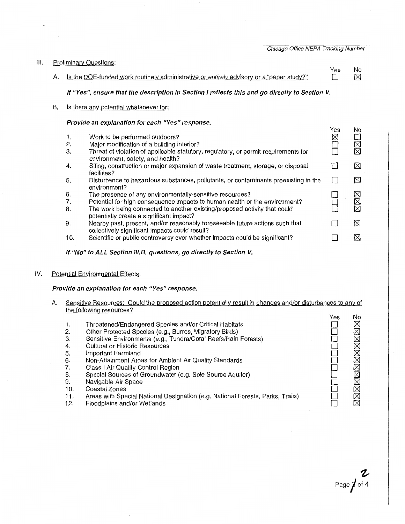Chicago Office NEPA Tracking Number

| III.<br><b>Preliminary Questions:</b> |    |                |                                                                                                                                                                     |          |                      |
|---------------------------------------|----|----------------|---------------------------------------------------------------------------------------------------------------------------------------------------------------------|----------|----------------------|
|                                       | А. |                | Is the DOE-funded work routinely administrative or entirely advisory or a "paper study?"                                                                            | Yes      | No.<br>⊠             |
|                                       |    |                | If "Yes", ensure that the description in Section I reflects this and go directly to Section V.                                                                      |          |                      |
|                                       | В. |                | Is there any potential whatsoever for:                                                                                                                              |          |                      |
|                                       |    |                | Provide an explanation for each "Yes" response.                                                                                                                     |          |                      |
|                                       |    | 1.<br>2.<br>3. | Work to be performed outdoors?<br>Major modification of a building interior?<br>Threat of violation of applicable statutory, regulatory, or permit requirements for | Yes<br>⊠ | No<br><b>N<br/>N</b> |
|                                       |    | 4.             | environment, safety, and health?<br>Siting, construction or major expansion of waste treatment, storage, or disposal<br>facilities?                                 | П        | $\boxtimes$          |
|                                       |    | 5.             | Disturbance to hazardous substances, pollutants, or contaminants preexisting in the<br>environment?                                                                 | $\Box$   | ⊠                    |
|                                       |    | 6.             | The presence of any environmentally-sensitive resources?                                                                                                            |          |                      |
|                                       |    | 7.             | Potential for high consequence impacts to human health or the environment?                                                                                          |          | MMM                  |
|                                       |    | 8.             | The work being connected to another existing/proposed activity that could<br>potentially create a significant impact?                                               |          |                      |
|                                       |    | 9.             | Nearby past, present, and/or reasonably foreseeable future actions such that<br>collectively significant impacts could result?                                      | ΙI       | $\boxtimes$          |
|                                       |    | 10.            | Scientific or public controversy over whether impacts could be significant?                                                                                         |          | ⊠                    |

If "No" to ALL Section III.B. questions, go directly to Section V.

# IV. Potential Environmental Effects:

**1.**  2. 3. 4. 5. 6. 7. 8. 9.

# **Provide an explanation for each "Yes" response.**

A. Sensitive Resources: Could the proposed action potentially result in changes and/or disturbances to any of the following resources?  $V_{\alpha\alpha}$  $N_{\Omega}$ 

|                                                                                | । ৬১ | טיו         |
|--------------------------------------------------------------------------------|------|-------------|
| Threatened/Endangered Species and/or Critical Habitats                         |      | $\boxtimes$ |
| Other Protected Species (e.g., Burros, Migratory Birds)                        |      | $\boxtimes$ |
| Sensitive Environments (e.g., Tundra/Coral Reefs/Rain Forests)                 |      |             |
| <b>Cultural or Historic Resources</b>                                          |      | $\boxtimes$ |
| Important Farmland                                                             |      |             |
| Non-Attainment Areas for Ambient Air Quality Standards                         |      |             |
| Class I Air Quality Control Region                                             |      |             |
| Special Sources of Groundwater (e.g. Sole Source Aquifer)                      |      | $\boxtimes$ |
| Navigable Air Space                                                            |      | ⊠           |
| Coastal Zones                                                                  |      | ⊠           |
| Areas with Special National Designation (e.g. National Forests, Parks, Trails) |      |             |
| Floodplains and/or Wetlands                                                    |      |             |

- 10. Coastal Zones
- 11. Areas with Special National Designation (e.g. National Forests, Parks, Trails)
- 12. Floodplains and/or Wetlands

**1,**  Page **j** of 4

 $\Box$  $\Box$  $\Box$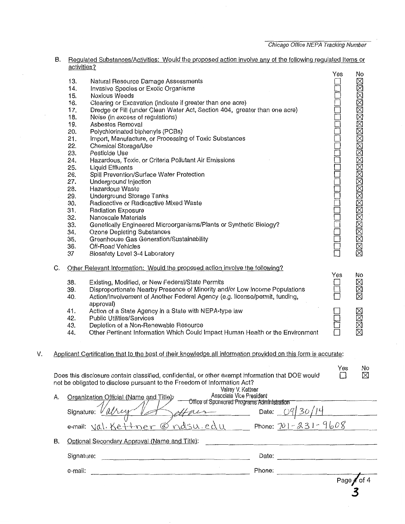|    |    |             |                                                                                                                                |     | Page / of |
|----|----|-------------|--------------------------------------------------------------------------------------------------------------------------------|-----|-----------|
|    |    | e-mail:     | Phone:                                                                                                                         |     |           |
|    |    | Signature:  |                                                                                                                                |     |           |
|    | В. |             | Optional Secondary Approval (Name and Title):                                                                                  |     |           |
|    |    |             | nasu.edu Phone: 701-231-9608<br>e-mail: $\forall \alpha$ . Ke++ner $\varnothing$                                               |     |           |
|    |    |             | $24/7$ Date: $09/30/14$<br>Signature: V                                                                                        |     |           |
|    | Α. |             | Associate Vice President<br>Organization Official (Name and Title);<br>Office of Sponsored Programs Administration             |     |           |
|    |    |             | not be obligated to disclose pursuant to the Freedom of Information Act?<br>Valrey V. Kettner                                  |     |           |
|    |    |             | Does this disclosure contain classified, confidential, or other exempt information that DOE would                              | Yes | No<br>X   |
| ٧. |    |             | Applicant Certification that to the best of their knowledge all information provided on this form is accurate:                 |     |           |
|    |    | 44.         | Other Pertinent Information Which Could Impact Human Health or the Environment                                                 |     |           |
|    |    | 42.<br>43.  | <b>Public Utilities/Services</b><br>Depletion of a Non-Renewable Resource                                                      |     | xxxxx     |
|    |    | 41.         | Action of a State Agency in a State with NEPA-type law                                                                         |     |           |
|    |    | 40.         | Action/Involvement of Another Federal Agency (e.g. license/permit, funding,<br>approval)                                       |     |           |
|    |    | 38.<br>39.  | Existing, Modified, or New Federal/State Permits<br>Disproportionate Nearby Presence of Minority and/or Low Income Populations |     | XXX       |
|    | C. |             | Other Relevant Information: Would the proposed action involve the following?                                                   | Yes | No        |
|    |    | 37          | Biosafety Level 3-4 Laboratory                                                                                                 |     |           |
|    |    | 36.         | Off-Road Vehicles                                                                                                              |     |           |
|    |    | 34.<br>35.  | <b>Ozone Depleting Substances</b><br>Greenhouse Gas Generation/Sustainability                                                  |     |           |
|    |    | 33.         | Genetically Engineered Microorganisms/Plants or Synthetic Biology?                                                             |     |           |
|    |    | 32.         | Radiation Exposure<br>Nanoscale Materials                                                                                      |     |           |
|    |    | 30.<br>31.  | Radioactive or Radioactive Mixed Waste                                                                                         |     |           |
|    |    | 29.         | <b>Underground Storage Tanks</b>                                                                                               |     |           |
|    |    | 27.<br>28.  | Underground Injection<br>Hazardous Waste                                                                                       |     |           |
|    |    | 26.         | Spill Prevention/Surface Water Protection                                                                                      |     |           |
|    |    | 25.         | <b>Liquid Effluents</b>                                                                                                        |     |           |
|    |    | 23.<br>24.  | Pesticide Use<br>Hazardous, Toxic, or Criteria Pollutant Air Emissions                                                         |     |           |
|    |    | 22.         | Chemical Storage/Use                                                                                                           |     |           |
|    |    | 21.         | Import, Manufacture, or Processing of Toxic Substances                                                                         |     |           |
|    |    | 19.<br>20.  | Asbestos Removal<br>Polychlorinated biphenyls (PCBs)                                                                           |     |           |
|    |    | 18.         | Noise (in excess of regulations)                                                                                               |     |           |
|    |    | 17.         | Dredge or Fill (under Clean Water Act, Section 404, greater than one acre)                                                     |     |           |
|    |    | 16.         | Clearing or Excavation (indicate if greater than one acre)                                                                     |     |           |
|    |    | 15.         | <b>Noxious Weeds</b>                                                                                                           |     |           |
|    |    | 13.<br>14.  | Natural Resource Damage Assessments<br>Invasive Species or Exotic Organisms                                                    |     |           |
|    |    |             |                                                                                                                                | Yes | No        |
|    |    | activities? |                                                                                                                                |     |           |

B. Regulated Substances/Activities: Would the proposed action involve any of the following regulated Items or

*3*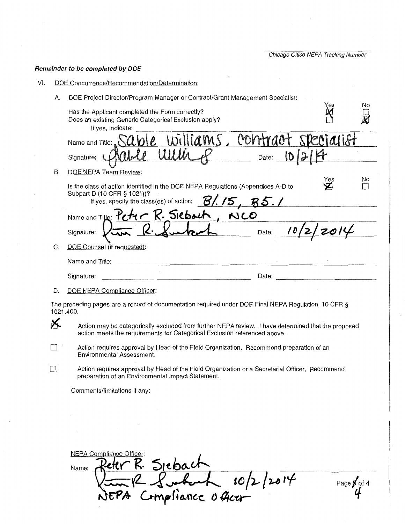Chicago Office NEPA Tracking Number

# Remainder to be completed by DOE

| VI.                                                                                                                                                                                   | DOE Concurrence/Recommendation/Determination:                                                                                                                                                            |           |                        |  |  |  |
|---------------------------------------------------------------------------------------------------------------------------------------------------------------------------------------|----------------------------------------------------------------------------------------------------------------------------------------------------------------------------------------------------------|-----------|------------------------|--|--|--|
|                                                                                                                                                                                       | DOE Project Director/Program Manager or Contract/Grant Management Specialist:<br>А.                                                                                                                      | Yes       | No                     |  |  |  |
|                                                                                                                                                                                       | Has the Applicant completed the Form correctly?<br>Does an existing Generic Categorical Exclusion apply?<br>If yes, indicate:                                                                            |           |                        |  |  |  |
|                                                                                                                                                                                       | williams,<br>contract<br>Name and Title: $\triangle A \triangle B$                                                                                                                                       | ecialist  |                        |  |  |  |
|                                                                                                                                                                                       | Date: D<br>Signature: (                                                                                                                                                                                  |           |                        |  |  |  |
|                                                                                                                                                                                       | DOE NEPA Team Review:<br>В.                                                                                                                                                                              |           |                        |  |  |  |
|                                                                                                                                                                                       | Is the class of action identified in the DOE NEPA Regulations (Appendices A-D to<br>Subpart D (10 CFR § 1021))?<br>If yes, specify the class(es) of action: $\mathcal{B}/\mathcal{I}$ , $\mathcal{B}$ 5. | Yes<br>Y2 | No                     |  |  |  |
|                                                                                                                                                                                       | Name and Title: Peter R. Sieboch,<br>NCO                                                                                                                                                                 |           |                        |  |  |  |
|                                                                                                                                                                                       | $h$ Date: $10/2/$<br>$Q \cdot$<br>Signature:                                                                                                                                                             |           |                        |  |  |  |
| C.                                                                                                                                                                                    | DOE Counsel (if requested):                                                                                                                                                                              |           |                        |  |  |  |
|                                                                                                                                                                                       | Name and Title:                                                                                                                                                                                          |           |                        |  |  |  |
|                                                                                                                                                                                       | Date:<br>Signature:                                                                                                                                                                                      |           |                        |  |  |  |
|                                                                                                                                                                                       | DOE NEPA Compliance Officer:<br>D.                                                                                                                                                                       |           |                        |  |  |  |
|                                                                                                                                                                                       | The preceding pages are a record of documentation required under DOE Final NEPA Regulation, 10 CFR $\S$<br>1021.400.                                                                                     |           |                        |  |  |  |
| X.<br>Action may be categorically excluded from further NEPA review. I have determined that the proposed<br>action meets the requirements for Categorical Exclusion referenced above. |                                                                                                                                                                                                          |           |                        |  |  |  |
|                                                                                                                                                                                       | Action requires approval by Head of the Field Organization. Recommend preparation of an<br>Environmental Assessment.                                                                                     |           |                        |  |  |  |
|                                                                                                                                                                                       | Action requires approval by Head of the Field Organization or a Secretarial Officer. Recommend<br>preparation of an Environmental Impact Statement.                                                      |           |                        |  |  |  |
|                                                                                                                                                                                       | Comments/limitations if any:                                                                                                                                                                             |           |                        |  |  |  |
|                                                                                                                                                                                       |                                                                                                                                                                                                          |           |                        |  |  |  |
|                                                                                                                                                                                       |                                                                                                                                                                                                          |           |                        |  |  |  |
|                                                                                                                                                                                       |                                                                                                                                                                                                          |           |                        |  |  |  |
|                                                                                                                                                                                       | NEPA Compliance Officer:<br>Peter R. Spebach<br>En 12 Subort 10/2/2014<br>JEPA Compliance 0 Geor<br>Name:                                                                                                |           |                        |  |  |  |
|                                                                                                                                                                                       |                                                                                                                                                                                                          |           | Page $\cancel{p}$ of 4 |  |  |  |
|                                                                                                                                                                                       |                                                                                                                                                                                                          |           |                        |  |  |  |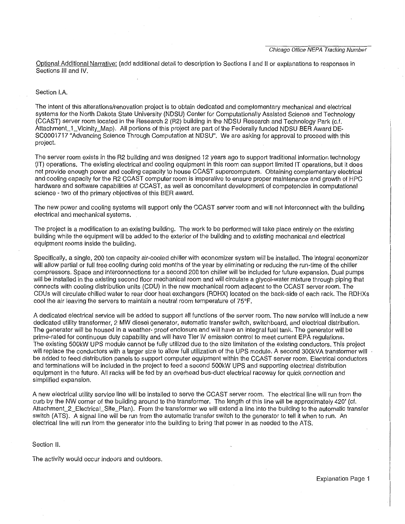Optional Additional Narrative: (add additional detail to description to Sections I and II or explanations to responses in Sections Ill and IV.

### Section I.A.

The intent of this alterations/renovation project is to obtain dedicated and complementary mechanical and electrical systems for the North Dakota State University (NDSU) Center for Computationally Assisted Science and Technology (CCAST) server room located in the Research 2 (R2) building in the NDSU Research and Technology Park (c.f. Attachment\_1\_ Vicinity\_Map). All portions of this project are part of the Federally funded NDSU BER Award DE-SC0001717 "Advancing Science Through Computation at NDSU". We are asking for approval to proceed with this project.

The server room exists in the R2 building and was designed 12 years ago to support traditional information technology (IT) operations. The existing electrical and cooling equipment in this room can support limited IT operations, but it does not provide enough power and cooling capacity to house CCAST supercomputers. Obtaining complementary electrical and cooling capacity for the R2 CCAST computer room is imperative to ensure proper maintenance and growth of HPC hardware and software capabilities at CCAST, as well as concomitant development of competencies in computational science - two of the primary objectives of this BER award.

The new power and cooling systems will support only the CCAST server room and will not interconnect with the building electrical and mechanical systems.

The project is a modification to an existing building. The work to be performed will take place entirely on the existing building while the equipment will be added to the exterior of the building and to existing mechanical and electrical equipment rooms inside the building.

Specifically, a single, 200 ton capacity air-cooled chiller with economizer system will be installed. The integral economizer will allow partial or full free cooling during cold months of the year by eliminating or reducing the run-time of the chiller compressors. Space and interconnections for a second 200 ton chiller will be included for future expansion. Dual pumps will be installed in the existing second floor mechanical room and will circulate a glycol-water mixture through piping that connects with cooling distribution units (CDU) in the new mechanical room adjacent to the CCAST server room. The CDUs will circulate chilled water to rear door heat exchangers (RDHX) located on the back-side of each rack. The RDHXs cool the air leaving the servers to maintain a neutral room temperature of 75°F.

A dedicated electrical service will be added to support all functions of the server room. The new service will include a new dedicated utility transformer, 2 MW diesel generator, automatic transfer switch, switchboard, and electrical distribution. The generator will be housed in a weather- proof enclosure and will have an integral fuel tank. The generator will be prime-rated for continuous duty capability and will have Tier IV emission control to meet current EPA regulations. The existing 500kW UPS module cannot be fully utilized due to the size limitation of the existing conductors. This project will replace the conductors with a larger size to allow full utilization of the UPS module. A second 300kVA transformer will be added to feed distribution panels to support computer equipment within the CCAST server room. Electrical conductors and terminations will be included in the project to feed a second 500kW UPS and supporting electrical distribution equipment in the future. All racks will be fed by an overhead bus-duct electrical raceway for quick connection and simplified expansion.

A new electrical utility service line will be installed to serve the CCAST server room. The electrical !ine will run from the curb by the NW corner of the building around to the transformer. The length of this line will be approximately 420' (ct. Attachment 2 Electrical Site\_Plan). From the transformer we will extend a line into the building to the automatic transfer switch (ATS). A signal line will be run from the automatic transfer switch to the generator to tell it when to run. An electrical line will run from the generator into the building to bring that power in as needed to the ATS.

Section II.

The activity would occur indoors and outdoors.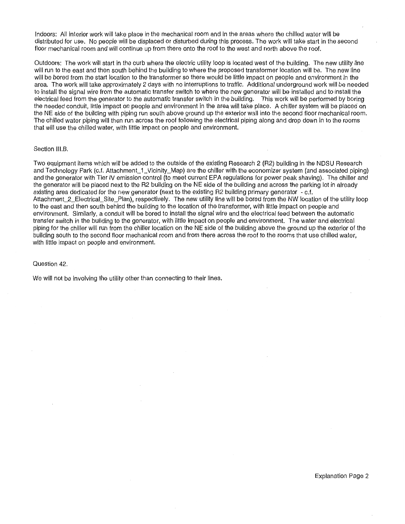Indoors: All interior work will take place in the mechanical room and in the areas where the chilled water will be distributed for use. No people will be displaced or disturbed during this process. The work will take start in the second floor mechanical room and will continue up from there onto the roof to the west and north above the roof.

Outdoors: The work will start in the curb where the electric utility loop is located west of the building. The new utility line will run to the east and then south behind the building to where the proposed transformer location will be. The new line will be bored from the start location to the transformer so there would be little impact on people and environment in the area. The work will take approximately 2 days with no interruptions to traffic. Additional underground work will be needed to install the signal wire from the automatic transfer switch to where the new generator will be installed and to install the electrical feed from the generator to the automatic transfer switch in the building. This work will be performed by boring the needed conduit, little impact on people and environment in the area will take place. A chiller system will be placed on the NE side of the building with piping run south above ground up the exterior wall into the second floor mechanical room. The chilled water piping will then run across the roof following the electrical piping along and drop down in to the rooms that will use the chilled water, with little impact on people and environment.

### Section III.B.

Two equipment items which will be added to the outside of the existing Research 2 (R2) building in the NDSU Research and Technology Park (c.f. Attachment\_1\_Vicinity\_Map) are the chiller with the economizer system (and associated piping) and the generator with Tier IV emission control (to meet current EPA regulations for power peak shaving). The chiller and the generator will be placed next to the R2 building on the NE side of the building and across the parking lot in already existing area dedicated for the new generator (next to the existing R2 building primary generator - c.f. Attachment\_2\_Electrical\_Site\_Plan), respectively. The new utility line will be bored from the NW location of the utility loop to the east and then south behind the building to the location of the transformer, with little impact on people and environment. Similarly, a conduit will be bored to install the signal wire and the electrical feed between the automatic transfer switch in the building to the generator, with little impact on people and environment. The water and electrical piping for the chiller will run from the chiller location on the NE side of the building above the ground up the exterior of the building south to the second floor mechanical room and from there across the roof to the rooms that use chilled water, with little impact on people and environment.

#### Question 42.

We will not be involving the utility other than connecting to their lines.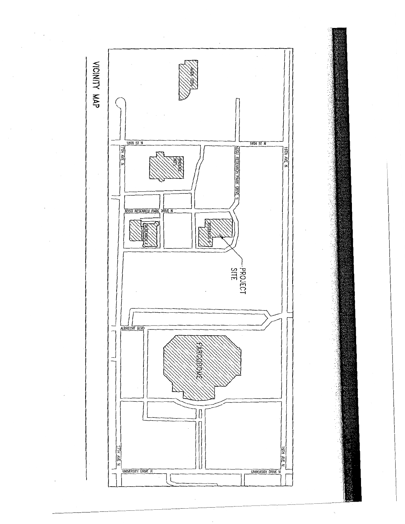